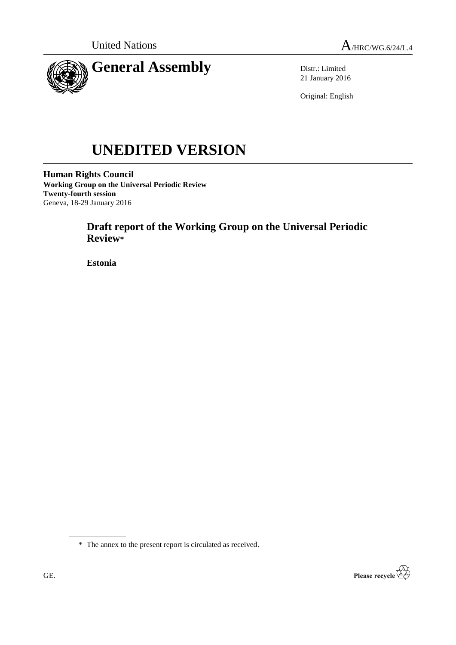

Distr.: Limited 21 January 2016

Original: English

# **UNEDITED VERSION**

**Human Rights Council Working Group on the Universal Periodic Review Twenty-fourth session** Geneva, 18-29 January 2016

# **Draft report of the Working Group on the Universal Periodic Review\***

**Estonia**



<sup>\*</sup> The annex to the present report is circulated as received.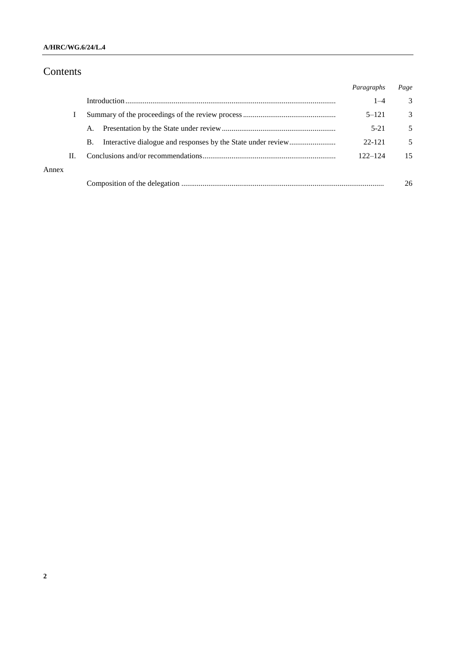## **A/HRC/WG.6/24/L.4**

# Contents

|       |    |    | Paragraphs  | Page |
|-------|----|----|-------------|------|
|       |    |    | $1 - 4$     | 3    |
|       |    |    | $5 - 121$   | 3    |
|       |    | A. | $5-21$      | 5    |
|       |    | В. | 22-121      | 5    |
|       | Н. |    | $122 - 124$ | 15   |
| Annex |    |    |             |      |
|       |    |    |             | 26   |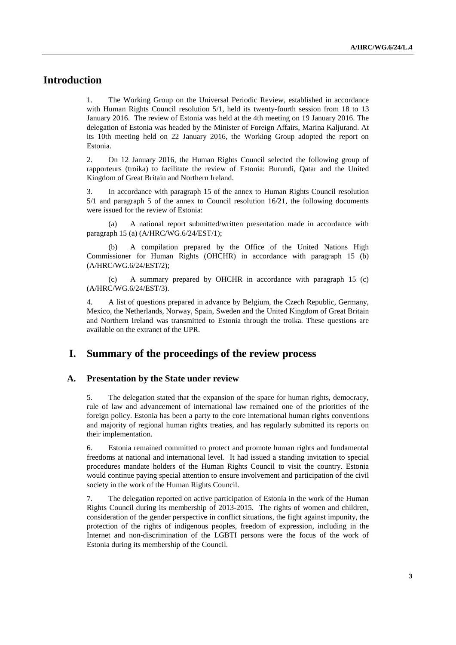# **Introduction**

1. The Working Group on the Universal Periodic Review, established in accordance with Human Rights Council resolution 5/1, held its twenty-fourth session from 18 to 13 January 2016. The review of Estonia was held at the 4th meeting on 19 January 2016. The delegation of Estonia was headed by the Minister of Foreign Affairs, Marina Kaljurand. At its 10th meeting held on 22 January 2016, the Working Group adopted the report on Estonia.

2. On 12 January 2016, the Human Rights Council selected the following group of rapporteurs (troika) to facilitate the review of Estonia: Burundi, Qatar and the United Kingdom of Great Britain and Northern Ireland.

3. In accordance with paragraph 15 of the annex to Human Rights Council resolution 5/1 and paragraph 5 of the annex to Council resolution 16/21, the following documents were issued for the review of Estonia:

(a) A national report submitted/written presentation made in accordance with paragraph 15 (a) (A/HRC/WG.6/24/EST/1);

(b) A compilation prepared by the Office of the United Nations High Commissioner for Human Rights (OHCHR) in accordance with paragraph 15 (b) (A/HRC/WG.6/24/EST/2);

(c) A summary prepared by OHCHR in accordance with paragraph 15 (c) (A/HRC/WG.6/24/EST/3).

4. A list of questions prepared in advance by Belgium, the Czech Republic, Germany, Mexico, the Netherlands, Norway, Spain, Sweden and the United Kingdom of Great Britain and Northern Ireland was transmitted to Estonia through the troika. These questions are available on the extranet of the UPR.

# **I. Summary of the proceedings of the review process**

#### **A. Presentation by the State under review**

5. The delegation stated that the expansion of the space for human rights, democracy, rule of law and advancement of international law remained one of the priorities of the foreign policy. Estonia has been a party to the core international human rights conventions and majority of regional human rights treaties, and has regularly submitted its reports on their implementation.

6. Estonia remained committed to protect and promote human rights and fundamental freedoms at national and international level. It had issued a standing invitation to special procedures mandate holders of the Human Rights Council to visit the country. Estonia would continue paying special attention to ensure involvement and participation of the civil society in the work of the Human Rights Council.

7. The delegation reported on active participation of Estonia in the work of the Human Rights Council during its membership of 2013-2015. The rights of women and children, consideration of the gender perspective in conflict situations, the fight against impunity, the protection of the rights of indigenous peoples, freedom of expression, including in the Internet and non-discrimination of the LGBTI persons were the focus of the work of Estonia during its membership of the Council.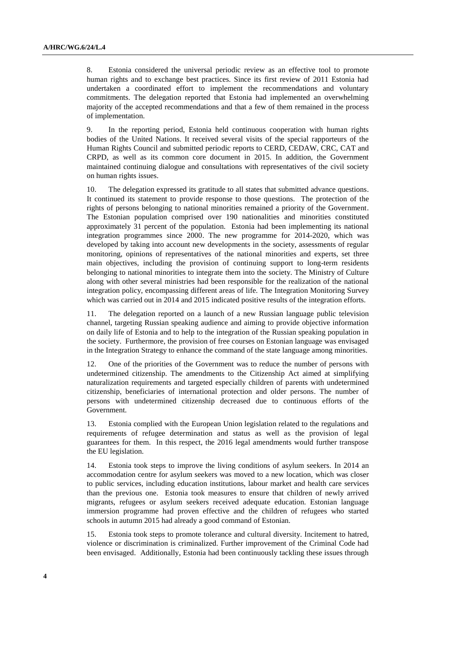8. Estonia considered the universal periodic review as an effective tool to promote human rights and to exchange best practices. Since its first review of 2011 Estonia had undertaken a coordinated effort to implement the recommendations and voluntary commitments. The delegation reported that Estonia had implemented an overwhelming majority of the accepted recommendations and that a few of them remained in the process of implementation.

9. In the reporting period, Estonia held continuous cooperation with human rights bodies of the United Nations. It received several visits of the special rapporteurs of the Human Rights Council and submitted periodic reports to CERD, CEDAW, CRC, CAT and CRPD, as well as its common core document in 2015. In addition, the Government maintained continuing dialogue and consultations with representatives of the civil society on human rights issues.

10. The delegation expressed its gratitude to all states that submitted advance questions. It continued its statement to provide response to those questions. The protection of the rights of persons belonging to national minorities remained a priority of the Government. The Estonian population comprised over 190 nationalities and minorities constituted approximately 31 percent of the population. Estonia had been implementing its national integration programmes since 2000. The new programme for 2014-2020, which was developed by taking into account new developments in the society, assessments of regular monitoring, opinions of representatives of the national minorities and experts, set three main objectives, including the provision of continuing support to long-term residents belonging to national minorities to integrate them into the society. The Ministry of Culture along with other several ministries had been responsible for the realization of the national integration policy, encompassing different areas of life. The Integration Monitoring Survey which was carried out in 2014 and 2015 indicated positive results of the integration efforts.

11. The delegation reported on a launch of a new Russian language public television channel, targeting Russian speaking audience and aiming to provide objective information on daily life of Estonia and to help to the integration of the Russian speaking population in the society. Furthermore, the provision of free courses on Estonian language was envisaged in the Integration Strategy to enhance the command of the state language among minorities.

12. One of the priorities of the Government was to reduce the number of persons with undetermined citizenship. The amendments to the Citizenship Act aimed at simplifying naturalization requirements and targeted especially children of parents with undetermined citizenship, beneficiaries of international protection and older persons. The number of persons with undetermined citizenship decreased due to continuous efforts of the Government.

13. Estonia complied with the European Union legislation related to the regulations and requirements of refugee determination and status as well as the provision of legal guarantees for them. In this respect, the 2016 legal amendments would further transpose the EU legislation.

14. Estonia took steps to improve the living conditions of asylum seekers. In 2014 an accommodation centre for asylum seekers was moved to a new location, which was closer to public services, including education institutions, labour market and health care services than the previous one. Estonia took measures to ensure that children of newly arrived migrants, refugees or asylum seekers received adequate education. Estonian language immersion programme had proven effective and the children of refugees who started schools in autumn 2015 had already a good command of Estonian.

15. Estonia took steps to promote tolerance and cultural diversity. Incitement to hatred, violence or discrimination is criminalized. Further improvement of the Criminal Code had been envisaged. Additionally, Estonia had been continuously tackling these issues through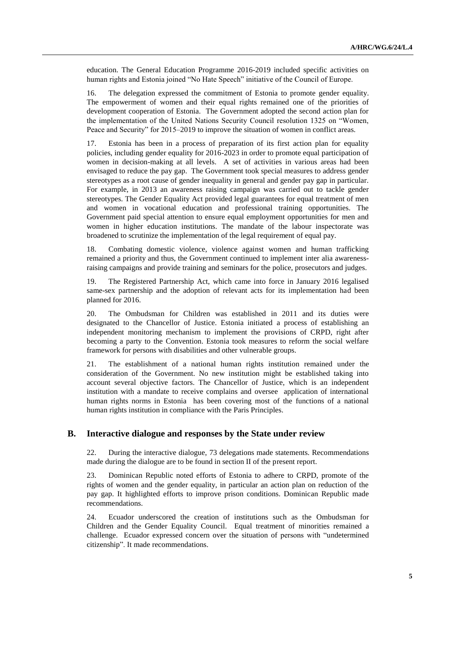education. The General Education Programme 2016-2019 included specific activities on human rights and Estonia joined "No Hate Speech" initiative of the Council of Europe.

16. The delegation expressed the commitment of Estonia to promote gender equality. The empowerment of women and their equal rights remained one of the priorities of development cooperation of Estonia. The Government adopted the second action plan for the implementation of the United Nations Security Council resolution 1325 on "Women, Peace and Security" for 2015–2019 to improve the situation of women in conflict areas.

17. Estonia has been in a process of preparation of its first action plan for equality policies, including gender equality for 2016-2023 in order to promote equal participation of women in decision-making at all levels. A set of activities in various areas had been envisaged to reduce the pay gap. The Government took special measures to address gender stereotypes as a root cause of gender inequality in general and gender pay gap in particular. For example, in 2013 an awareness raising campaign was carried out to tackle gender stereotypes. The Gender Equality Act provided legal guarantees for equal treatment of men and women in vocational education and professional training opportunities. The Government paid special attention to ensure equal employment opportunities for men and women in higher education institutions. The mandate of the labour inspectorate was broadened to scrutinize the implementation of the legal requirement of equal pay.

18. Combating domestic violence, violence against women and human trafficking remained a priority and thus, the Government continued to implement inter alia awarenessraising campaigns and provide training and seminars for the police, prosecutors and judges.

19. The Registered Partnership Act, which came into force in January 2016 legalised same-sex partnership and the adoption of relevant acts for its implementation had been planned for 2016.

20. The Ombudsman for Children was established in 2011 and its duties were designated to the Chancellor of Justice. Estonia initiated a process of establishing an independent monitoring mechanism to implement the provisions of CRPD, right after becoming a party to the Convention. Estonia took measures to reform the social welfare framework for persons with disabilities and other vulnerable groups.

21. The establishment of a national human rights institution remained under the consideration of the Government. No new institution might be established taking into account several objective factors. The Chancellor of Justice, which is an independent institution with a mandate to receive complains and oversee application of international human rights norms in Estonia has been covering most of the functions of a national human rights institution in compliance with the Paris Principles.

## **B. Interactive dialogue and responses by the State under review**

22. During the interactive dialogue, 73 delegations made statements. Recommendations made during the dialogue are to be found in section II of the present report.

23. Dominican Republic noted efforts of Estonia to adhere to CRPD, promote of the rights of women and the gender equality, in particular an action plan on reduction of the pay gap. It highlighted efforts to improve prison conditions. Dominican Republic made recommendations.

24. Ecuador underscored the creation of institutions such as the Ombudsman for Children and the Gender Equality Council. Equal treatment of minorities remained a challenge. Ecuador expressed concern over the situation of persons with "undetermined citizenship". It made recommendations.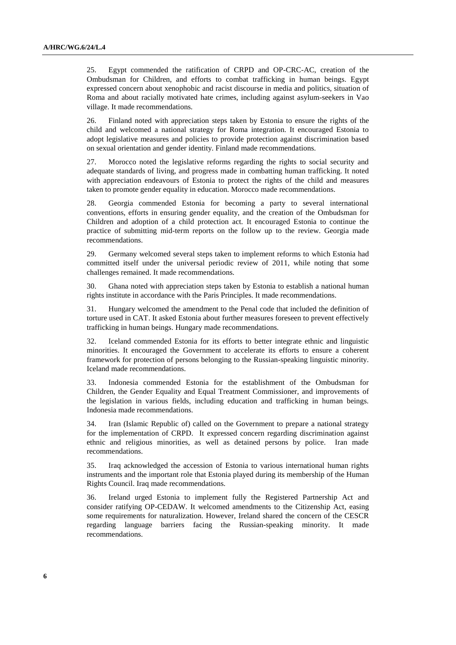25. Egypt commended the ratification of CRPD and OP-CRC-AC, creation of the Ombudsman for Children, and efforts to combat trafficking in human beings. Egypt expressed concern about xenophobic and racist discourse in media and politics, situation of Roma and about racially motivated hate crimes, including against asylum-seekers in Vao village. It made recommendations.

26. Finland noted with appreciation steps taken by Estonia to ensure the rights of the child and welcomed a national strategy for Roma integration. It encouraged Estonia to adopt legislative measures and policies to provide protection against discrimination based on sexual orientation and gender identity. Finland made recommendations.

27. Morocco noted the legislative reforms regarding the rights to social security and adequate standards of living, and progress made in combatting human trafficking. It noted with appreciation endeavours of Estonia to protect the rights of the child and measures taken to promote gender equality in education. Morocco made recommendations.

28. Georgia commended Estonia for becoming a party to several international conventions, efforts in ensuring gender equality, and the creation of the Ombudsman for Children and adoption of a child protection act. It encouraged Estonia to continue the practice of submitting mid-term reports on the follow up to the review. Georgia made recommendations.

29. Germany welcomed several steps taken to implement reforms to which Estonia had committed itself under the universal periodic review of 2011, while noting that some challenges remained. It made recommendations.

30. Ghana noted with appreciation steps taken by Estonia to establish a national human rights institute in accordance with the Paris Principles. It made recommendations.

31. Hungary welcomed the amendment to the Penal code that included the definition of torture used in CAT. It asked Estonia about further measures foreseen to prevent effectively trafficking in human beings. Hungary made recommendations.

32. Iceland commended Estonia for its efforts to better integrate ethnic and linguistic minorities. It encouraged the Government to accelerate its efforts to ensure a coherent framework for protection of persons belonging to the Russian-speaking linguistic minority. Iceland made recommendations.

33. Indonesia commended Estonia for the establishment of the Ombudsman for Children, the Gender Equality and Equal Treatment Commissioner, and improvements of the legislation in various fields, including education and trafficking in human beings. Indonesia made recommendations.

34. Iran (Islamic Republic of) called on the Government to prepare a national strategy for the implementation of CRPD. It expressed concern regarding discrimination against ethnic and religious minorities, as well as detained persons by police. Iran made recommendations.

35. Iraq acknowledged the accession of Estonia to various international human rights instruments and the important role that Estonia played during its membership of the Human Rights Council. Iraq made recommendations.

36. Ireland urged Estonia to implement fully the Registered Partnership Act and consider ratifying OP-CEDAW. It welcomed amendments to the Citizenship Act, easing some requirements for naturalization. However, Ireland shared the concern of the CESCR regarding language barriers facing the Russian-speaking minority. It made recommendations.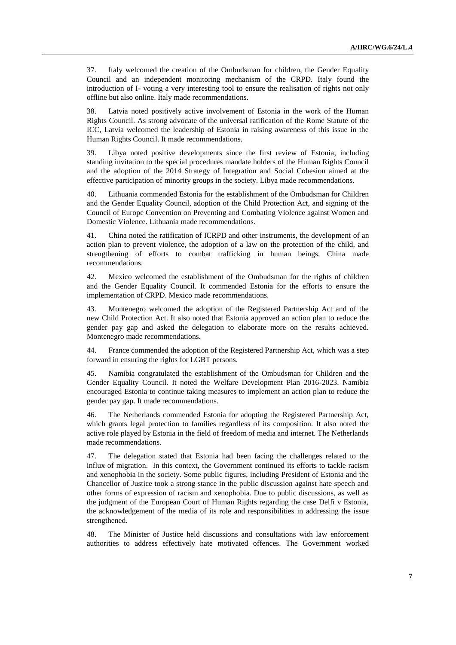37. Italy welcomed the creation of the Ombudsman for children, the Gender Equality Council and an independent monitoring mechanism of the CRPD. Italy found the introduction of I- voting a very interesting tool to ensure the realisation of rights not only offline but also online. Italy made recommendations.

38. Latvia noted positively active involvement of Estonia in the work of the Human Rights Council. As strong advocate of the universal ratification of the Rome Statute of the ICC, Latvia welcomed the leadership of Estonia in raising awareness of this issue in the Human Rights Council. It made recommendations.

39. Libya noted positive developments since the first review of Estonia, including standing invitation to the special procedures mandate holders of the Human Rights Council and the adoption of the 2014 Strategy of Integration and Social Cohesion aimed at the effective participation of minority groups in the society. Libya made recommendations.

40. Lithuania commended Estonia for the establishment of the Ombudsman for Children and the Gender Equality Council, adoption of the Child Protection Act, and signing of the Council of Europe Convention on Preventing and Combating Violence against Women and Domestic Violence. Lithuania made recommendations.

41. China noted the ratification of ICRPD and other instruments, the development of an action plan to prevent violence, the adoption of a law on the protection of the child, and strengthening of efforts to combat trafficking in human beings. China made recommendations.

42. Mexico welcomed the establishment of the Ombudsman for the rights of children and the Gender Equality Council. It commended Estonia for the efforts to ensure the implementation of CRPD. Mexico made recommendations.

43. Montenegro welcomed the adoption of the Registered Partnership Act and of the new Child Protection Act. It also noted that Estonia approved an action plan to reduce the gender pay gap and asked the delegation to elaborate more on the results achieved. Montenegro made recommendations.

44. France commended the adoption of the Registered Partnership Act, which was a step forward in ensuring the rights for LGBT persons.

45. Namibia congratulated the establishment of the Ombudsman for Children and the Gender Equality Council. It noted the Welfare Development Plan 2016-2023. Namibia encouraged Estonia to continue taking measures to implement an action plan to reduce the gender pay gap. It made recommendations.

46. The Netherlands commended Estonia for adopting the Registered Partnership Act, which grants legal protection to families regardless of its composition. It also noted the active role played by Estonia in the field of freedom of media and internet. The Netherlands made recommendations.

47. The delegation stated that Estonia had been facing the challenges related to the influx of migration. In this context, the Government continued its efforts to tackle racism and xenophobia in the society. Some public figures, including President of Estonia and the Chancellor of Justice took a strong stance in the public discussion against hate speech and other forms of expression of racism and xenophobia. Due to public discussions, as well as the judgment of the European Court of Human Rights regarding the case Delfi v Estonia, the acknowledgement of the media of its role and responsibilities in addressing the issue strengthened.

48. The Minister of Justice held discussions and consultations with law enforcement authorities to address effectively hate motivated offences. The Government worked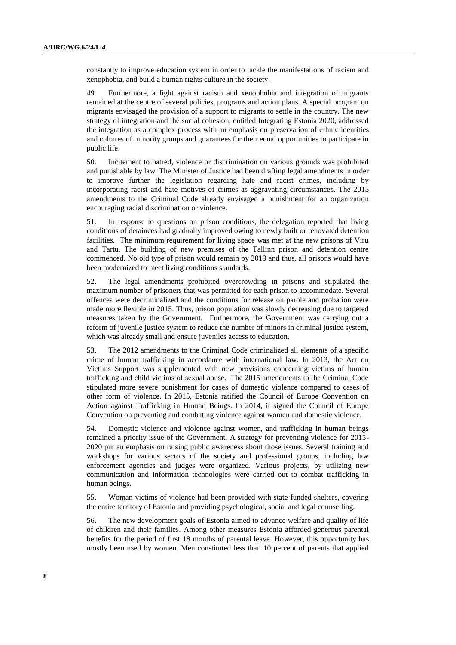constantly to improve education system in order to tackle the manifestations of racism and xenophobia, and build a human rights culture in the society.

49. Furthermore, a fight against racism and xenophobia and integration of migrants remained at the centre of several policies, programs and action plans. A special program on migrants envisaged the provision of a support to migrants to settle in the country. The new strategy of integration and the social cohesion, entitled Integrating Estonia 2020, addressed the integration as a complex process with an emphasis on preservation of ethnic identities and cultures of minority groups and guarantees for their equal opportunities to participate in public life.

50. Incitement to hatred, violence or discrimination on various grounds was prohibited and punishable by law. The Minister of Justice had been drafting legal amendments in order to improve further the legislation regarding hate and racist crimes, including by incorporating racist and hate motives of crimes as aggravating circumstances. The 2015 amendments to the Criminal Code already envisaged a punishment for an organization encouraging racial discrimination or violence.

51. In response to questions on prison conditions, the delegation reported that living conditions of detainees had gradually improved owing to newly built or renovated detention facilities. The minimum requirement for living space was met at the new prisons of Viru and Tartu. The building of new premises of the Tallinn prison and detention centre commenced. No old type of prison would remain by 2019 and thus, all prisons would have been modernized to meet living conditions standards.

52. The legal amendments prohibited overcrowding in prisons and stipulated the maximum number of prisoners that was permitted for each prison to accommodate. Several offences were decriminalized and the conditions for release on parole and probation were made more flexible in 2015. Thus, prison population was slowly decreasing due to targeted measures taken by the Government. Furthermore, the Government was carrying out a reform of juvenile justice system to reduce the number of minors in criminal justice system, which was already small and ensure juveniles access to education.

53. The 2012 amendments to the Criminal Code criminalized all elements of a specific crime of human trafficking in accordance with international law. In 2013, the Act on Victims Support was supplemented with new provisions concerning victims of human trafficking and child victims of sexual abuse. The 2015 amendments to the Criminal Code stipulated more severe punishment for cases of domestic violence compared to cases of other form of violence. In 2015, Estonia ratified the Council of Europe Convention on Action against Trafficking in Human Beings. In 2014, it signed the Council of Europe Convention on preventing and combating violence against women and domestic violence.

54. Domestic violence and violence against women, and trafficking in human beings remained a priority issue of the Government. A strategy for preventing violence for 2015- 2020 put an emphasis on raising public awareness about those issues. Several training and workshops for various sectors of the society and professional groups, including law enforcement agencies and judges were organized. Various projects, by utilizing new communication and information technologies were carried out to combat trafficking in human beings.

55. Woman victims of violence had been provided with state funded shelters, covering the entire territory of Estonia and providing psychological, social and legal counselling.

56. The new development goals of Estonia aimed to advance welfare and quality of life of children and their families. Among other measures Estonia afforded generous parental benefits for the period of first 18 months of parental leave. However, this opportunity has mostly been used by women. Men constituted less than 10 percent of parents that applied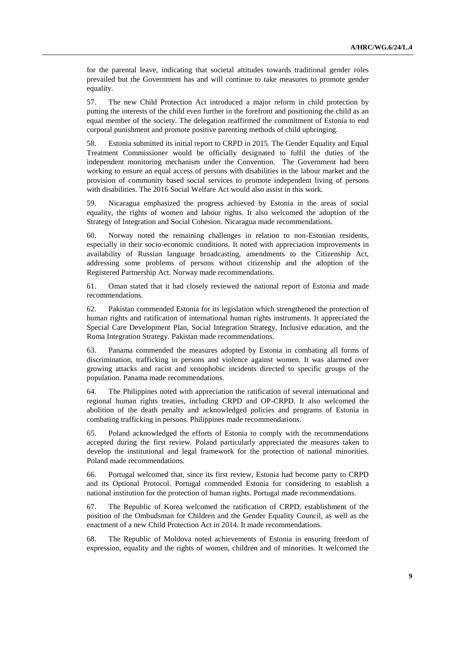for the parental leave, indicating that societal attitudes towards traditional gender roles prevailed but the Government has and will continue to take measures to promote gender equality.

57. The new Child Protection Act introduced a major reform in child protection by putting the interests of the child even further in the forefront and positioning the child as an equal member of the society. The delegation reaffirmed the commitment of Estonia to end corporal punishment and promote positive parenting methods of child upbringing.

58. Estonia submitted its initial report to CRPD in 2015. The Gender Equality and Equal Treatment Commissioner would be officially designated to fulfil the duties of the independent monitoring mechanism under the Convention. The Government had been working to ensure an equal access of persons with disabilities in the labour market and the provision of community based social services to promote independent living of persons with disabilities. The 2016 Social Welfare Act would also assist in this work.

59. Nicaragua emphasized the progress achieved by Estonia in the areas of social equality, the rights of women and labour rights. It also welcomed the adoption of the Strategy of Integration and Social Cohesion. Nicaragua made recommendations.

60. Norway noted the remaining challenges in relation to non-Estonian residents, especially in their socio-economic conditions. It noted with appreciation improvements in availability of Russian language broadcasting, amendments to the Citizenship Act, addressing some problems of persons without citizenship and the adoption of the Registered Partnership Act. Norway made recommendations.

61. Oman stated that it had closely reviewed the national report of Estonia and made recommendations.

62. Pakistan commended Estonia for its legislation which strengthened the protection of human rights and ratification of international human rights instruments. It appreciated the Special Care Development Plan, Social Integration Strategy, Inclusive education, and the Roma Integration Strategy. Pakistan made recommendations.

63. Panama commended the measures adopted by Estonia in combating all forms of discrimination, trafficking in persons and violence against women. It was alarmed over growing attacks and racist and xenophobic incidents directed to specific groups of the population. Panama made recommendations.

64. The Philippines noted with appreciation the ratification of several international and regional human rights treaties, including CRPD and OP-CRPD. It also welcomed the abolition of the death penalty and acknowledged policies and programs of Estonia in combating trafficking in persons. Philippines made recommendations.

65. Poland acknowledged the efforts of Estonia to comply with the recommendations accepted during the first review. Poland particularly appreciated the measures taken to develop the institutional and legal framework for the protection of national minorities. Poland made recommendations.

66. Portugal welcomed that, since its first review, Estonia had become party to CRPD and its Optional Protocol. Portugal commended Estonia for considering to establish a national institution for the protection of human rights. Portugal made recommendations.

67. The Republic of Korea welcomed the ratification of CRPD, establishment of the position of the Ombudsman for Children and the Gender Equality Council, as well as the enactment of a new Child Protection Act in 2014. It made recommendations.

68. The Republic of Moldova noted achievements of Estonia in ensuring freedom of expression, equality and the rights of women, children and of minorities. It welcomed the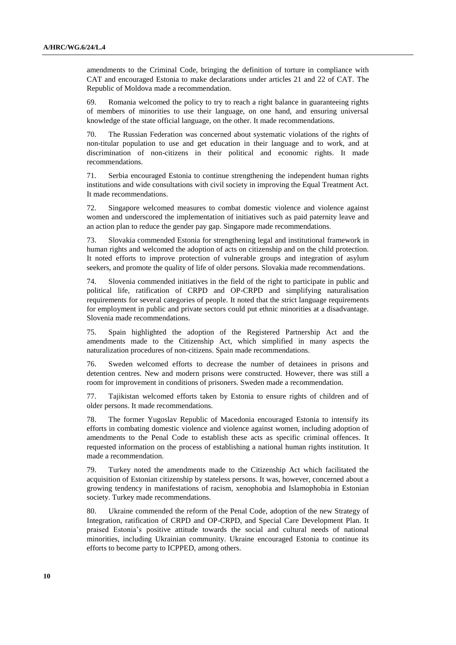amendments to the Criminal Code, bringing the definition of torture in compliance with CAT and encouraged Estonia to make declarations under articles 21 and 22 of CAT. The Republic of Moldova made a recommendation.

69. Romania welcomed the policy to try to reach a right balance in guaranteeing rights of members of minorities to use their language, on one hand, and ensuring universal knowledge of the state official language, on the other. It made recommendations.

70. The Russian Federation was concerned about systematic violations of the rights of non-titular population to use and get education in their language and to work, and at discrimination of non-citizens in their political and economic rights. It made recommendations.

71. Serbia encouraged Estonia to continue strengthening the independent human rights institutions and wide consultations with civil society in improving the Equal Treatment Act. It made recommendations.

72. Singapore welcomed measures to combat domestic violence and violence against women and underscored the implementation of initiatives such as paid paternity leave and an action plan to reduce the gender pay gap. Singapore made recommendations.

73. Slovakia commended Estonia for strengthening legal and institutional framework in human rights and welcomed the adoption of acts on citizenship and on the child protection. It noted efforts to improve protection of vulnerable groups and integration of asylum seekers, and promote the quality of life of older persons. Slovakia made recommendations.

74. Slovenia commended initiatives in the field of the right to participate in public and political life, ratification of CRPD and OP-CRPD and simplifying naturalisation requirements for several categories of people. It noted that the strict language requirements for employment in public and private sectors could put ethnic minorities at a disadvantage. Slovenia made recommendations.

75. Spain highlighted the adoption of the Registered Partnership Act and the amendments made to the Citizenship Act, which simplified in many aspects the naturalization procedures of non-citizens. Spain made recommendations.

76. Sweden welcomed efforts to decrease the number of detainees in prisons and detention centres. New and modern prisons were constructed. However, there was still a room for improvement in conditions of prisoners. Sweden made a recommendation.

77. Tajikistan welcomed efforts taken by Estonia to ensure rights of children and of older persons. It made recommendations.

78. The former Yugoslav Republic of Macedonia encouraged Estonia to intensify its efforts in combating domestic violence and violence against women, including adoption of amendments to the Penal Code to establish these acts as specific criminal offences. It requested information on the process of establishing a national human rights institution. It made a recommendation.

79. Turkey noted the amendments made to the Citizenship Act which facilitated the acquisition of Estonian citizenship by stateless persons. It was, however, concerned about a growing tendency in manifestations of racism, xenophobia and Islamophobia in Estonian society. Turkey made recommendations.

80. Ukraine commended the reform of the Penal Code, adoption of the new Strategy of Integration, ratification of CRPD and OP-CRPD, and Special Care Development Plan. It praised Estonia's positive attitude towards the social and cultural needs of national minorities, including Ukrainian community. Ukraine encouraged Estonia to continue its efforts to become party to ICPPED, among others.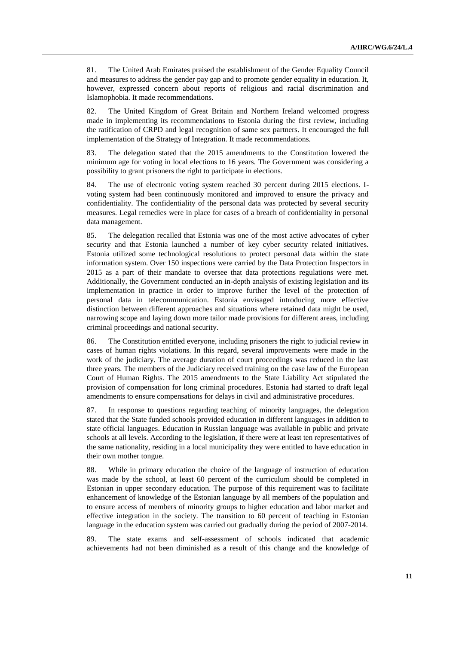81. The United Arab Emirates praised the establishment of the Gender Equality Council and measures to address the gender pay gap and to promote gender equality in education. It, however, expressed concern about reports of religious and racial discrimination and Islamophobia. It made recommendations.

82. The United Kingdom of Great Britain and Northern Ireland welcomed progress made in implementing its recommendations to Estonia during the first review, including the ratification of CRPD and legal recognition of same sex partners. It encouraged the full implementation of the Strategy of Integration. It made recommendations.

83. The delegation stated that the 2015 amendments to the Constitution lowered the minimum age for voting in local elections to 16 years. The Government was considering a possibility to grant prisoners the right to participate in elections.

84. The use of electronic voting system reached 30 percent during 2015 elections. Ivoting system had been continuously monitored and improved to ensure the privacy and confidentiality. The confidentiality of the personal data was protected by several security measures. Legal remedies were in place for cases of a breach of confidentiality in personal data management.

85. The delegation recalled that Estonia was one of the most active advocates of cyber security and that Estonia launched a number of key cyber security related initiatives. Estonia utilized some technological resolutions to protect personal data within the state information system. Over 150 inspections were carried by the Data Protection Inspectors in 2015 as a part of their mandate to oversee that data protections regulations were met. Additionally, the Government conducted an in-depth analysis of existing legislation and its implementation in practice in order to improve further the level of the protection of personal data in telecommunication. Estonia envisaged introducing more effective distinction between different approaches and situations where retained data might be used, narrowing scope and laying down more tailor made provisions for different areas, including criminal proceedings and national security.

86. The Constitution entitled everyone, including prisoners the right to judicial review in cases of human rights violations. In this regard, several improvements were made in the work of the judiciary. The average duration of court proceedings was reduced in the last three years. The members of the Judiciary received training on the case law of the European Court of Human Rights. The 2015 amendments to the State Liability Act stipulated the provision of compensation for long criminal procedures. Estonia had started to draft legal amendments to ensure compensations for delays in civil and administrative procedures.

87. In response to questions regarding teaching of minority languages, the delegation stated that the State funded schools provided education in different languages in addition to state official languages. Education in Russian language was available in public and private schools at all levels. According to the legislation, if there were at least ten representatives of the same nationality, residing in a local municipality they were entitled to have education in their own mother tongue.

88. While in primary education the choice of the language of instruction of education was made by the school, at least 60 percent of the curriculum should be completed in Estonian in upper secondary education. The purpose of this requirement was to facilitate enhancement of knowledge of the Estonian language by all members of the population and to ensure access of members of minority groups to higher education and labor market and effective integration in the society. The transition to 60 percent of teaching in Estonian language in the education system was carried out gradually during the period of 2007-2014.

89. The state exams and self-assessment of schools indicated that academic achievements had not been diminished as a result of this change and the knowledge of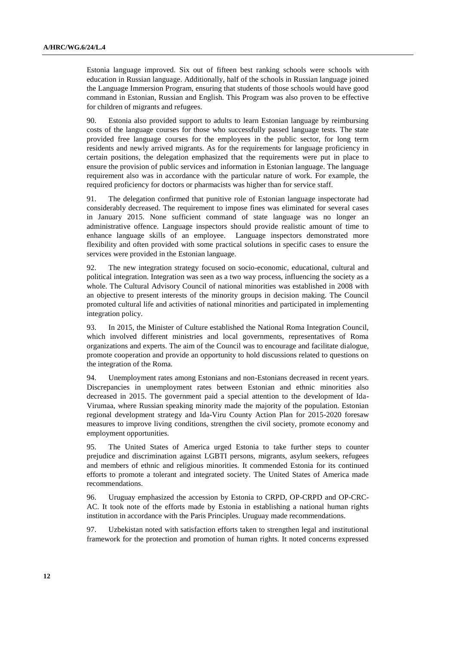Estonia language improved. Six out of fifteen best ranking schools were schools with education in Russian language. Additionally, half of the schools in Russian language joined the Language Immersion Program, ensuring that students of those schools would have good command in Estonian, Russian and English. This Program was also proven to be effective for children of migrants and refugees.

90. Estonia also provided support to adults to learn Estonian language by reimbursing costs of the language courses for those who successfully passed language tests. The state provided free language courses for the employees in the public sector, for long term residents and newly arrived migrants. As for the requirements for language proficiency in certain positions, the delegation emphasized that the requirements were put in place to ensure the provision of public services and information in Estonian language. The language requirement also was in accordance with the particular nature of work. For example, the required proficiency for doctors or pharmacists was higher than for service staff.

91. The delegation confirmed that punitive role of Estonian language inspectorate had considerably decreased. The requirement to impose fines was eliminated for several cases in January 2015. None sufficient command of state language was no longer an administrative offence. Language inspectors should provide realistic amount of time to enhance language skills of an employee. Language inspectors demonstrated more flexibility and often provided with some practical solutions in specific cases to ensure the services were provided in the Estonian language.

92. The new integration strategy focused on socio-economic, educational, cultural and political integration. Integration was seen as a two way process, influencing the society as a whole. The Cultural Advisory Council of national minorities was established in 2008 with an objective to present interests of the minority groups in decision making. The Council promoted cultural life and activities of national minorities and participated in implementing integration policy.

93. In 2015, the Minister of Culture established the National Roma Integration Council, which involved different ministries and local governments, representatives of Roma organizations and experts. The aim of the Council was to encourage and facilitate dialogue, promote cooperation and provide an opportunity to hold discussions related to questions on the integration of the Roma.

94. Unemployment rates among Estonians and non-Estonians decreased in recent years. Discrepancies in unemployment rates between Estonian and ethnic minorities also decreased in 2015. The government paid a special attention to the development of Ida-Virumaa, where Russian speaking minority made the majority of the population. Estonian regional development strategy and Ida-Viru County Action Plan for 2015-2020 foresaw measures to improve living conditions, strengthen the civil society, promote economy and employment opportunities.

95. The United States of America urged Estonia to take further steps to counter prejudice and discrimination against LGBTI persons, migrants, asylum seekers, refugees and members of ethnic and religious minorities. It commended Estonia for its continued efforts to promote a tolerant and integrated society. The United States of America made recommendations.

96. Uruguay emphasized the accession by Estonia to CRPD, OP-CRPD and OP-CRC-AC. It took note of the efforts made by Estonia in establishing a national human rights institution in accordance with the Paris Principles. Uruguay made recommendations.

97. Uzbekistan noted with satisfaction efforts taken to strengthen legal and institutional framework for the protection and promotion of human rights. It noted concerns expressed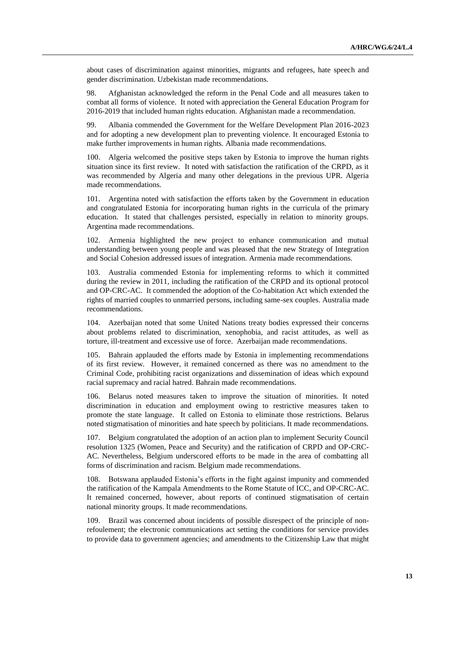about cases of discrimination against minorities, migrants and refugees, hate speech and gender discrimination. Uzbekistan made recommendations.

98. Afghanistan acknowledged the reform in the Penal Code and all measures taken to combat all forms of violence. It noted with appreciation the General Education Program for 2016-2019 that included human rights education. Afghanistan made a recommendation.

99. Albania commended the Government for the Welfare Development Plan 2016-2023 and for adopting a new development plan to preventing violence. It encouraged Estonia to make further improvements in human rights. Albania made recommendations.

100. Algeria welcomed the positive steps taken by Estonia to improve the human rights situation since its first review. It noted with satisfaction the ratification of the CRPD, as it was recommended by Algeria and many other delegations in the previous UPR. Algeria made recommendations.

101. Argentina noted with satisfaction the efforts taken by the Government in education and congratulated Estonia for incorporating human rights in the curricula of the primary education. It stated that challenges persisted, especially in relation to minority groups. Argentina made recommendations.

102. Armenia highlighted the new project to enhance communication and mutual understanding between young people and was pleased that the new Strategy of Integration and Social Cohesion addressed issues of integration. Armenia made recommendations.

103. Australia commended Estonia for implementing reforms to which it committed during the review in 2011, including the ratification of the CRPD and its optional protocol and OP-CRC-AC. It commended the adoption of the Co-habitation Act which extended the rights of married couples to unmarried persons, including same-sex couples. Australia made recommendations.

104. Azerbaijan noted that some United Nations treaty bodies expressed their concerns about problems related to discrimination, xenophobia, and racist attitudes, as well as torture, ill-treatment and excessive use of force. Azerbaijan made recommendations.

105. Bahrain applauded the efforts made by Estonia in implementing recommendations of its first review. However, it remained concerned as there was no amendment to the Criminal Code, prohibiting racist organizations and dissemination of ideas which expound racial supremacy and racial hatred. Bahrain made recommendations.

106. Belarus noted measures taken to improve the situation of minorities. It noted discrimination in education and employment owing to restrictive measures taken to promote the state language. It called on Estonia to eliminate those restrictions. Belarus noted stigmatisation of minorities and hate speech by politicians. It made recommendations.

107. Belgium congratulated the adoption of an action plan to implement Security Council resolution 1325 (Women, Peace and Security) and the ratification of CRPD and OP-CRC-AC. Nevertheless, Belgium underscored efforts to be made in the area of combatting all forms of discrimination and racism. Belgium made recommendations.

108. Botswana applauded Estonia's efforts in the fight against impunity and commended the ratification of the Kampala Amendments to the Rome Statute of ICC, and OP-CRC-AC. It remained concerned, however, about reports of continued stigmatisation of certain national minority groups. It made recommendations.

109. Brazil was concerned about incidents of possible disrespect of the principle of nonrefoulement; the electronic communications act setting the conditions for service provides to provide data to government agencies; and amendments to the Citizenship Law that might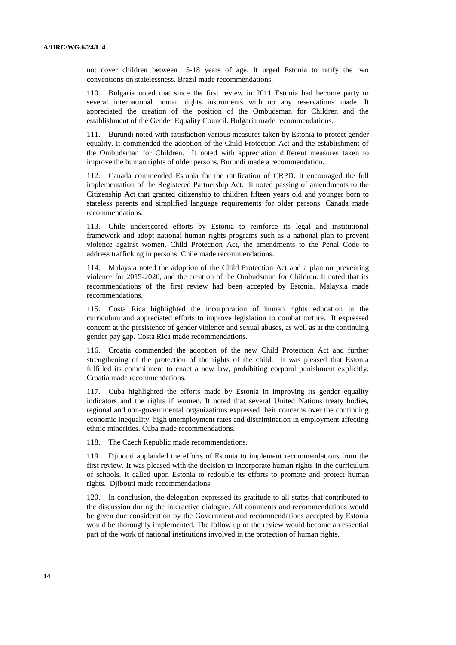not cover children between 15-18 years of age. It urged Estonia to ratify the two conventions on statelessness. Brazil made recommendations.

110. Bulgaria noted that since the first review in 2011 Estonia had become party to several international human rights instruments with no any reservations made. It appreciated the creation of the position of the Ombudsman for Children and the establishment of the Gender Equality Council. Bulgaria made recommendations.

111. Burundi noted with satisfaction various measures taken by Estonia to protect gender equality. It commended the adoption of the Child Protection Act and the establishment of the Ombudsman for Children. It noted with appreciation different measures taken to improve the human rights of older persons. Burundi made a recommendation.

112. Canada commended Estonia for the ratification of CRPD. It encouraged the full implementation of the Registered Partnership Act. It noted passing of amendments to the Citizenship Act that granted citizenship to children fifteen years old and younger born to stateless parents and simplified language requirements for older persons. Canada made recommendations.

113. Chile underscored efforts by Estonia to reinforce its legal and institutional framework and adopt national human rights programs such as a national plan to prevent violence against women, Child Protection Act, the amendments to the Penal Code to address trafficking in persons. Chile made recommendations.

114. Malaysia noted the adoption of the Child Protection Act and a plan on preventing violence for 2015-2020, and the creation of the Ombudsman for Children. It noted that its recommendations of the first review had been accepted by Estonia. Malaysia made recommendations.

115. Costa Rica highlighted the incorporation of human rights education in the curriculum and appreciated efforts to improve legislation to combat torture. It expressed concern at the persistence of gender violence and sexual abuses, as well as at the continuing gender pay gap. Costa Rica made recommendations.

116. Croatia commended the adoption of the new Child Protection Act and further strengthening of the protection of the rights of the child. It was pleased that Estonia fulfilled its commitment to enact a new law, prohibiting corporal punishment explicitly. Croatia made recommendations.

117. Cuba highlighted the efforts made by Estonia in improving its gender equality indicators and the rights if women. It noted that several United Nations treaty bodies, regional and non-governmental organizations expressed their concerns over the continuing economic inequality, high unemployment rates and discrimination in employment affecting ethnic minorities. Cuba made recommendations.

118. The Czech Republic made recommendations.

119. Djibouti applauded the efforts of Estonia to implement recommendations from the first review. It was pleased with the decision to incorporate human rights in the curriculum of schools. It called upon Estonia to redouble its efforts to promote and protect human rights. Djibouti made recommendations.

120. In conclusion, the delegation expressed its gratitude to all states that contributed to the discussion during the interactive dialogue. All comments and recommendations would be given due consideration by the Government and recommendations accepted by Estonia would be thoroughly implemented. The follow up of the review would become an essential part of the work of national institutions involved in the protection of human rights.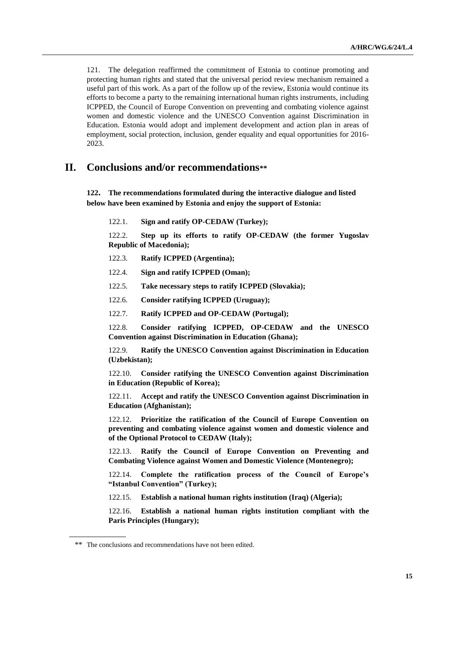121. The delegation reaffirmed the commitment of Estonia to continue promoting and protecting human rights and stated that the universal period review mechanism remained a useful part of this work. As a part of the follow up of the review, Estonia would continue its efforts to become a party to the remaining international human rights instruments, including ICPPED, the Council of Europe Convention on preventing and combating violence against women and domestic violence and the UNESCO Convention against Discrimination in Education. Estonia would adopt and implement development and action plan in areas of employment, social protection, inclusion, gender equality and equal opportunities for 2016- 2023.

# **II. Conclusions and/or recommendations\*\***

**122. The recommendations formulated during the interactive dialogue and listed below have been examined by Estonia and enjoy the support of Estonia:**

122.1. **Sign and ratify OP-CEDAW (Turkey);**

122.2. **Step up its efforts to ratify OP-CEDAW (the former Yugoslav Republic of Macedonia);**

- 122.3. **Ratify ICPPED (Argentina);**
- 122.4. **Sign and ratify ICPPED (Oman);**
- 122.5. **Take necessary steps to ratify ICPPED (Slovakia);**
- 122.6. **Consider ratifying ICPPED (Uruguay);**
- 122.7. **Ratify ICPPED and OP-CEDAW (Portugal);**

122.8. **Consider ratifying ICPPED, OP-CEDAW and the UNESCO Convention against Discrimination in Education (Ghana);**

122.9. **Ratify the UNESCO Convention against Discrimination in Education (Uzbekistan);**

122.10. **Consider ratifying the UNESCO Convention against Discrimination in Education (Republic of Korea);**

122.11. **Accept and ratify the UNESCO Convention against Discrimination in Education (Afghanistan);**

122.12. **Prioritize the ratification of the Council of Europe Convention on preventing and combating violence against women and domestic violence and of the Optional Protocol to CEDAW (Italy);**

122.13. **Ratify the Council of Europe Convention on Preventing and Combating Violence against Women and Domestic Violence (Montenegro);**

122.14. **Complete the ratification process of the Council of Europe's "Istanbul Convention" (Turkey);**

122.15. **Establish a national human rights institution (Iraq) (Algeria);**

122.16. **Establish a national human rights institution compliant with the Paris Principles (Hungary);**

<sup>\*\*</sup> The conclusions and recommendations have not been edited.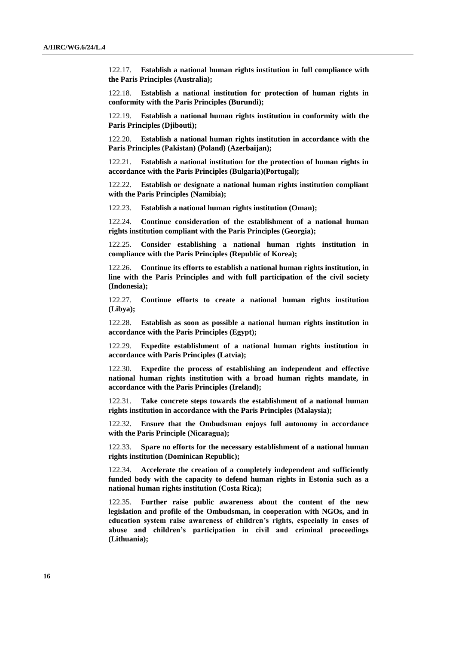122.17. **Establish a national human rights institution in full compliance with the Paris Principles (Australia);**

122.18. **Establish a national institution for protection of human rights in conformity with the Paris Principles (Burundi);**

122.19. **Establish a national human rights institution in conformity with the Paris Principles (Djibouti);**

122.20. **Establish a national human rights institution in accordance with the Paris Principles (Pakistan) (Poland) (Azerbaijan);**

122.21. **Establish a national institution for the protection of human rights in accordance with the Paris Principles (Bulgaria)(Portugal);**

122.22. **Establish or designate a national human rights institution compliant with the Paris Principles (Namibia);**

122.23. **Establish a national human rights institution (Oman);**

122.24. **Continue consideration of the establishment of a national human rights institution compliant with the Paris Principles (Georgia);**

122.25. **Consider establishing a national human rights institution in compliance with the Paris Principles (Republic of Korea);**

122.26. **Continue its efforts to establish a national human rights institution, in line with the Paris Principles and with full participation of the civil society (Indonesia);**

122.27. **Continue efforts to create a national human rights institution (Libya);**

122.28. **Establish as soon as possible a national human rights institution in accordance with the Paris Principles (Egypt);**

122.29. **Expedite establishment of a national human rights institution in accordance with Paris Principles (Latvia);**

122.30. **Expedite the process of establishing an independent and effective national human rights institution with a broad human rights mandate, in accordance with the Paris Principles (Ireland);**

122.31. **Take concrete steps towards the establishment of a national human rights institution in accordance with the Paris Principles (Malaysia);**

122.32. **Ensure that the Ombudsman enjoys full autonomy in accordance with the Paris Principle (Nicaragua);**

122.33. **Spare no efforts for the necessary establishment of a national human rights institution (Dominican Republic);**

122.34. **Accelerate the creation of a completely independent and sufficiently funded body with the capacity to defend human rights in Estonia such as a national human rights institution (Costa Rica);**

122.35. **Further raise public awareness about the content of the new legislation and profile of the Ombudsman, in cooperation with NGOs, and in education system raise awareness of children's rights, especially in cases of abuse and children's participation in civil and criminal proceedings (Lithuania);**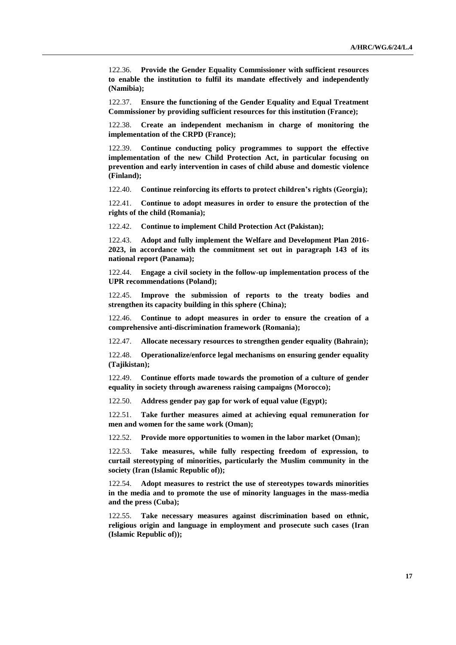122.36. **Provide the Gender Equality Commissioner with sufficient resources to enable the institution to fulfil its mandate effectively and independently (Namibia);**

122.37. **Ensure the functioning of the Gender Equality and Equal Treatment Commissioner by providing sufficient resources for this institution (France);**

122.38. **Create an independent mechanism in charge of monitoring the implementation of the CRPD (France);**

122.39. **Continue conducting policy programmes to support the effective implementation of the new Child Protection Act, in particular focusing on prevention and early intervention in cases of child abuse and domestic violence (Finland);**

122.40. **Continue reinforcing its efforts to protect children's rights (Georgia);**

122.41. **Continue to adopt measures in order to ensure the protection of the rights of the child (Romania);**

122.42. **Continue to implement Child Protection Act (Pakistan);**

122.43. **Adopt and fully implement the Welfare and Development Plan 2016- 2023, in accordance with the commitment set out in paragraph 143 of its national report (Panama);**

122.44. **Engage a civil society in the follow-up implementation process of the UPR recommendations (Poland);**

122.45. **Improve the submission of reports to the treaty bodies and strengthen its capacity building in this sphere (China);**

122.46. **Continue to adopt measures in order to ensure the creation of a comprehensive anti-discrimination framework (Romania);**

122.47. **Allocate necessary resources to strengthen gender equality (Bahrain);**

122.48. **Operationalize/enforce legal mechanisms on ensuring gender equality (Tajikistan);**

122.49. **Continue efforts made towards the promotion of a culture of gender equality in society through awareness raising campaigns (Morocco);**

122.50. **Address gender pay gap for work of equal value (Egypt);**

122.51. **Take further measures aimed at achieving equal remuneration for men and women for the same work (Oman);**

122.52. **Provide more opportunities to women in the labor market (Oman);**

122.53. **Take measures, while fully respecting freedom of expression, to curtail stereotyping of minorities, particularly the Muslim community in the society (Iran (Islamic Republic of));**

122.54. **Adopt measures to restrict the use of stereotypes towards minorities in the media and to promote the use of minority languages in the mass-media and the press (Cuba);**

122.55. **Take necessary measures against discrimination based on ethnic, religious origin and language in employment and prosecute such cases (Iran (Islamic Republic of));**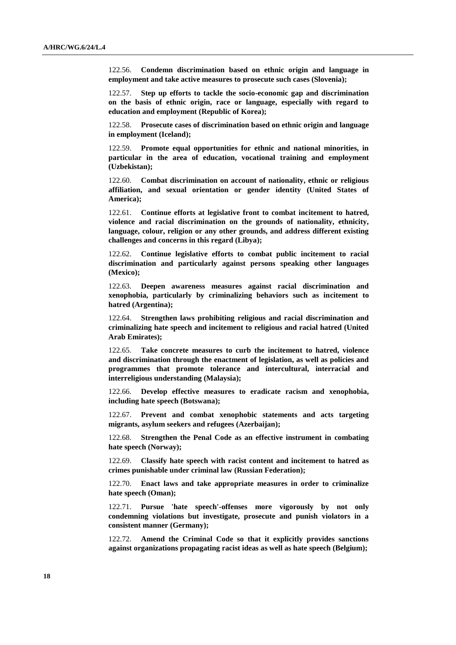122.56. **Condemn discrimination based on ethnic origin and language in employment and take active measures to prosecute such cases (Slovenia);**

122.57. **Step up efforts to tackle the socio-economic gap and discrimination on the basis of ethnic origin, race or language, especially with regard to education and employment (Republic of Korea);**

122.58. **Prosecute cases of discrimination based on ethnic origin and language in employment (Iceland);**

122.59. **Promote equal opportunities for ethnic and national minorities, in particular in the area of education, vocational training and employment (Uzbekistan);**

122.60. **Combat discrimination on account of nationality, ethnic or religious affiliation, and sexual orientation or gender identity (United States of America);**

122.61. **Continue efforts at legislative front to combat incitement to hatred, violence and racial discrimination on the grounds of nationality, ethnicity, language, colour, religion or any other grounds, and address different existing challenges and concerns in this regard (Libya);**

122.62. **Continue legislative efforts to combat public incitement to racial discrimination and particularly against persons speaking other languages (Mexico);**

122.63. **Deepen awareness measures against racial discrimination and xenophobia, particularly by criminalizing behaviors such as incitement to hatred (Argentina);**

122.64. **Strengthen laws prohibiting religious and racial discrimination and criminalizing hate speech and incitement to religious and racial hatred (United Arab Emirates);**

122.65. **Take concrete measures to curb the incitement to hatred, violence and discrimination through the enactment of legislation, as well as policies and programmes that promote tolerance and intercultural, interracial and interreligious understanding (Malaysia);**

122.66. **Develop effective measures to eradicate racism and xenophobia, including hate speech (Botswana);**

122.67. **Prevent and combat xenophobic statements and acts targeting migrants, asylum seekers and refugees (Azerbaijan);**

122.68. **Strengthen the Penal Code as an effective instrument in combating hate speech (Norway);**

122.69. **Classify hate speech with racist content and incitement to hatred as crimes punishable under criminal law (Russian Federation);**

122.70. **Enact laws and take appropriate measures in order to criminalize hate speech (Oman);**

122.71. **Pursue 'hate speech'-offenses more vigorously by not only condemning violations but investigate, prosecute and punish violators in a consistent manner (Germany);**

122.72. **Amend the Criminal Code so that it explicitly provides sanctions against organizations propagating racist ideas as well as hate speech (Belgium);**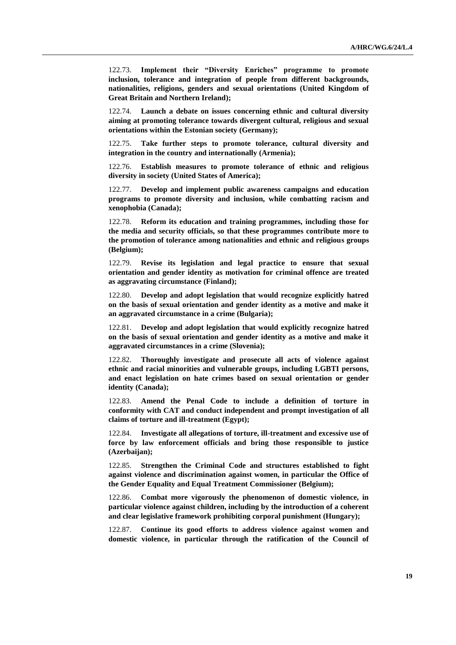122.73. **Implement their "Diversity Enriches" programme to promote inclusion, tolerance and integration of people from different backgrounds, nationalities, religions, genders and sexual orientations (United Kingdom of Great Britain and Northern Ireland);**

122.74. **Launch a debate on issues concerning ethnic and cultural diversity aiming at promoting tolerance towards divergent cultural, religious and sexual orientations within the Estonian society (Germany);**

122.75. **Take further steps to promote tolerance, cultural diversity and integration in the country and internationally (Armenia);**

122.76. **Establish measures to promote tolerance of ethnic and religious diversity in society (United States of America);**

122.77. **Develop and implement public awareness campaigns and education programs to promote diversity and inclusion, while combatting racism and xenophobia (Canada);**

122.78. **Reform its education and training programmes, including those for the media and security officials, so that these programmes contribute more to the promotion of tolerance among nationalities and ethnic and religious groups (Belgium);**

122.79. **Revise its legislation and legal practice to ensure that sexual orientation and gender identity as motivation for criminal offence are treated as aggravating circumstance (Finland);**

122.80. **Develop and adopt legislation that would recognize explicitly hatred on the basis of sexual orientation and gender identity as a motive and make it an aggravated circumstance in a crime (Bulgaria);**

122.81. **Develop and adopt legislation that would explicitly recognize hatred on the basis of sexual orientation and gender identity as a motive and make it aggravated circumstances in a crime (Slovenia);**

122.82. **Thoroughly investigate and prosecute all acts of violence against ethnic and racial minorities and vulnerable groups, including LGBTI persons, and enact legislation on hate crimes based on sexual orientation or gender identity (Canada);**

122.83. **Amend the Penal Code to include a definition of torture in conformity with CAT and conduct independent and prompt investigation of all claims of torture and ill-treatment (Egypt);**

122.84. **Investigate all allegations of torture, ill-treatment and excessive use of force by law enforcement officials and bring those responsible to justice (Azerbaijan);**

122.85. **Strengthen the Criminal Code and structures established to fight against violence and discrimination against women, in particular the Office of the Gender Equality and Equal Treatment Commissioner (Belgium);**

122.86. **Combat more vigorously the phenomenon of domestic violence, in particular violence against children, including by the introduction of a coherent and clear legislative framework prohibiting corporal punishment (Hungary);**

122.87. **Continue its good efforts to address violence against women and domestic violence, in particular through the ratification of the Council of**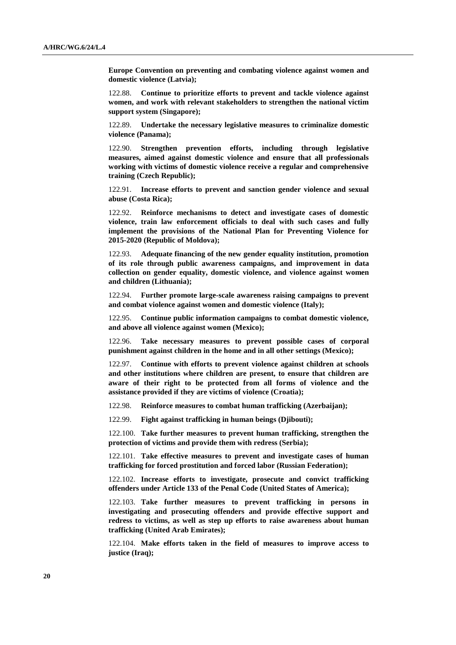**Europe Convention on preventing and combating violence against women and domestic violence (Latvia);**

122.88. **Continue to prioritize efforts to prevent and tackle violence against women, and work with relevant stakeholders to strengthen the national victim support system (Singapore);**

122.89. **Undertake the necessary legislative measures to criminalize domestic violence (Panama);**

122.90. **Strengthen prevention efforts, including through legislative measures, aimed against domestic violence and ensure that all professionals working with victims of domestic violence receive a regular and comprehensive training (Czech Republic);**

122.91. **Increase efforts to prevent and sanction gender violence and sexual abuse (Costa Rica);**

122.92. **Reinforce mechanisms to detect and investigate cases of domestic violence, train law enforcement officials to deal with such cases and fully implement the provisions of the National Plan for Preventing Violence for 2015-2020 (Republic of Moldova);**

122.93. **Adequate financing of the new gender equality institution, promotion of its role through public awareness campaigns, and improvement in data collection on gender equality, domestic violence, and violence against women and children (Lithuania);**

122.94. **Further promote large-scale awareness raising campaigns to prevent and combat violence against women and domestic violence (Italy);**

122.95. **Continue public information campaigns to combat domestic violence, and above all violence against women (Mexico);**

122.96. **Take necessary measures to prevent possible cases of corporal punishment against children in the home and in all other settings (Mexico);**

122.97. **Continue with efforts to prevent violence against children at schools and other institutions where children are present, to ensure that children are aware of their right to be protected from all forms of violence and the assistance provided if they are victims of violence (Croatia);**

122.98. **Reinforce measures to combat human trafficking (Azerbaijan);**

122.99. **Fight against trafficking in human beings (Djibouti);**

122.100. **Take further measures to prevent human trafficking, strengthen the protection of victims and provide them with redress (Serbia);**

122.101. **Take effective measures to prevent and investigate cases of human trafficking for forced prostitution and forced labor (Russian Federation);**

122.102. **Increase efforts to investigate, prosecute and convict trafficking offenders under Article 133 of the Penal Code (United States of America);**

122.103. **Take further measures to prevent trafficking in persons in investigating and prosecuting offenders and provide effective support and redress to victims, as well as step up efforts to raise awareness about human trafficking (United Arab Emirates);**

122.104. **Make efforts taken in the field of measures to improve access to justice (Iraq);**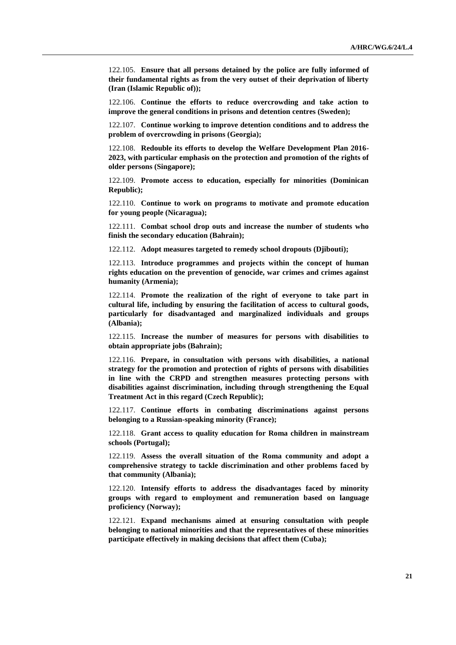122.105. **Ensure that all persons detained by the police are fully informed of their fundamental rights as from the very outset of their deprivation of liberty (Iran (Islamic Republic of));**

122.106. **Continue the efforts to reduce overcrowding and take action to improve the general conditions in prisons and detention centres (Sweden);**

122.107. **Continue working to improve detention conditions and to address the problem of overcrowding in prisons (Georgia);**

122.108. **Redouble its efforts to develop the Welfare Development Plan 2016- 2023, with particular emphasis on the protection and promotion of the rights of older persons (Singapore);**

122.109. **Promote access to education, especially for minorities (Dominican Republic);**

122.110. **Continue to work on programs to motivate and promote education for young people (Nicaragua);**

122.111. **Combat school drop outs and increase the number of students who finish the secondary education (Bahrain);**

122.112. **Adopt measures targeted to remedy school dropouts (Djibouti);**

122.113. **Introduce programmes and projects within the concept of human rights education on the prevention of genocide, war crimes and crimes against humanity (Armenia);**

122.114. **Promote the realization of the right of everyone to take part in cultural life, including by ensuring the facilitation of access to cultural goods, particularly for disadvantaged and marginalized individuals and groups (Albania);**

122.115. **Increase the number of measures for persons with disabilities to obtain appropriate jobs (Bahrain);**

122.116. **Prepare, in consultation with persons with disabilities, a national strategy for the promotion and protection of rights of persons with disabilities in line with the CRPD and strengthen measures protecting persons with disabilities against discrimination, including through strengthening the Equal Treatment Act in this regard (Czech Republic);**

122.117. **Continue efforts in combating discriminations against persons belonging to a Russian-speaking minority (France);**

122.118. **Grant access to quality education for Roma children in mainstream schools (Portugal);**

122.119. **Assess the overall situation of the Roma community and adopt a comprehensive strategy to tackle discrimination and other problems faced by that community (Albania);**

122.120. **Intensify efforts to address the disadvantages faced by minority groups with regard to employment and remuneration based on language proficiency (Norway);**

122.121. **Expand mechanisms aimed at ensuring consultation with people belonging to national minorities and that the representatives of these minorities participate effectively in making decisions that affect them (Cuba);**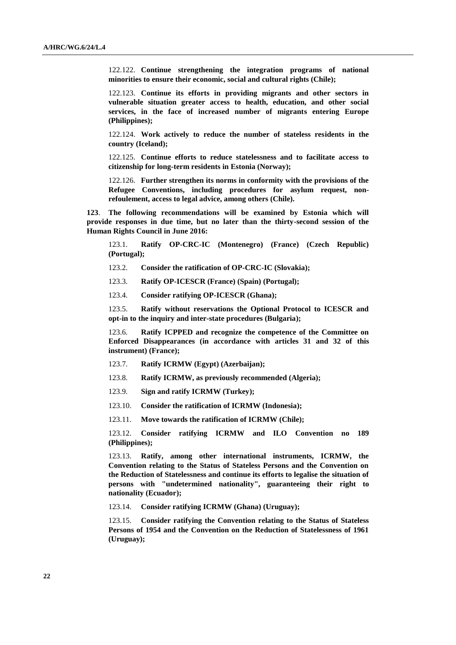122.122. **Continue strengthening the integration programs of national minorities to ensure their economic, social and cultural rights (Chile);**

122.123. **Continue its efforts in providing migrants and other sectors in vulnerable situation greater access to health, education, and other social services, in the face of increased number of migrants entering Europe (Philippines);**

122.124. **Work actively to reduce the number of stateless residents in the country (Iceland);**

122.125. **Continue efforts to reduce statelessness and to facilitate access to citizenship for long-term residents in Estonia (Norway);**

122.126. **Further strengthen its norms in conformity with the provisions of the Refugee Conventions, including procedures for asylum request, nonrefoulement, access to legal advice, among others (Chile).**

**123**. **The following recommendations will be examined by Estonia which will provide responses in due time, but no later than the thirty-second session of the Human Rights Council in June 2016:**

123.1. **Ratify OP-CRC-IC (Montenegro) (France) (Czech Republic) (Portugal);**

123.2. **Consider the ratification of OP-CRC-IC (Slovakia);**

123.3. **Ratify OP-ICESCR (France) (Spain) (Portugal);**

123.4. **Consider ratifying OP-ICESCR (Ghana);**

123.5. **Ratify without reservations the Optional Protocol to ICESCR and opt-in to the inquiry and inter-state procedures (Bulgaria);**

123.6. **Ratify ICPPED and recognize the competence of the Committee on Enforced Disappearances (in accordance with articles 31 and 32 of this instrument) (France);**

- 123.7. **Ratify ICRMW (Egypt) (Azerbaijan);**
- 123.8. **Ratify ICRMW, as previously recommended (Algeria);**
- 123.9. **Sign and ratify ICRMW (Turkey);**
- 123.10. **Consider the ratification of ICRMW (Indonesia);**
- 123.11. **Move towards the ratification of ICRMW (Chile);**

123.12. **Consider ratifying ICRMW and ILO Convention no 189 (Philippines);**

123.13. **Ratify, among other international instruments, ICRMW, the Convention relating to the Status of Stateless Persons and the Convention on the Reduction of Statelessness and continue its efforts to legalise the situation of persons with "undetermined nationality", guaranteeing their right to nationality (Ecuador);**

123.14. **Consider ratifying ICRMW (Ghana) (Uruguay);**

123.15. **Consider ratifying the Convention relating to the Status of Stateless Persons of 1954 and the Convention on the Reduction of Statelessness of 1961 (Uruguay);**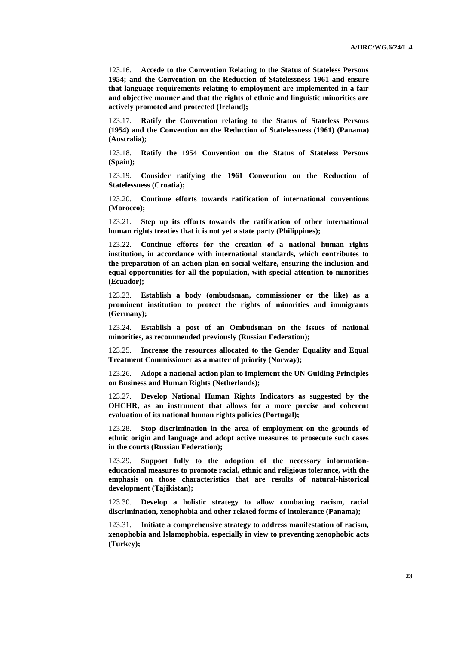123.16. **Accede to the Convention Relating to the Status of Stateless Persons 1954; and the Convention on the Reduction of Statelessness 1961 and ensure that language requirements relating to employment are implemented in a fair and objective manner and that the rights of ethnic and linguistic minorities are actively promoted and protected (Ireland);**

123.17. **Ratify the Convention relating to the Status of Stateless Persons (1954) and the Convention on the Reduction of Statelessness (1961) (Panama) (Australia);**

123.18. **Ratify the 1954 Convention on the Status of Stateless Persons (Spain);**

123.19. **Consider ratifying the 1961 Convention on the Reduction of Statelessness (Croatia);**

123.20. **Continue efforts towards ratification of international conventions (Morocco);**

123.21. **Step up its efforts towards the ratification of other international human rights treaties that it is not yet a state party (Philippines);**

123.22. **Continue efforts for the creation of a national human rights institution, in accordance with international standards, which contributes to the preparation of an action plan on social welfare, ensuring the inclusion and equal opportunities for all the population, with special attention to minorities (Ecuador);**

123.23. **Establish a body (ombudsman, commissioner or the like) as a prominent institution to protect the rights of minorities and immigrants (Germany);**

123.24. **Establish a post of an Ombudsman on the issues of national minorities, as recommended previously (Russian Federation);**

123.25. **Increase the resources allocated to the Gender Equality and Equal Treatment Commissioner as a matter of priority (Norway);**

123.26. **Adopt a national action plan to implement the UN Guiding Principles on Business and Human Rights (Netherlands);**

123.27. **Develop National Human Rights Indicators as suggested by the OHCHR, as an instrument that allows for a more precise and coherent evaluation of its national human rights policies (Portugal);**

123.28. **Stop discrimination in the area of employment on the grounds of ethnic origin and language and adopt active measures to prosecute such cases in the courts (Russian Federation);**

123.29. **Support fully to the adoption of the necessary informationeducational measures to promote racial, ethnic and religious tolerance, with the emphasis on those characteristics that are results of natural-historical development (Tajikistan);**

123.30. **Develop a holistic strategy to allow combating racism, racial discrimination, xenophobia and other related forms of intolerance (Panama);**

123.31. **Initiate a comprehensive strategy to address manifestation of racism, xenophobia and Islamophobia, especially in view to preventing xenophobic acts (Turkey);**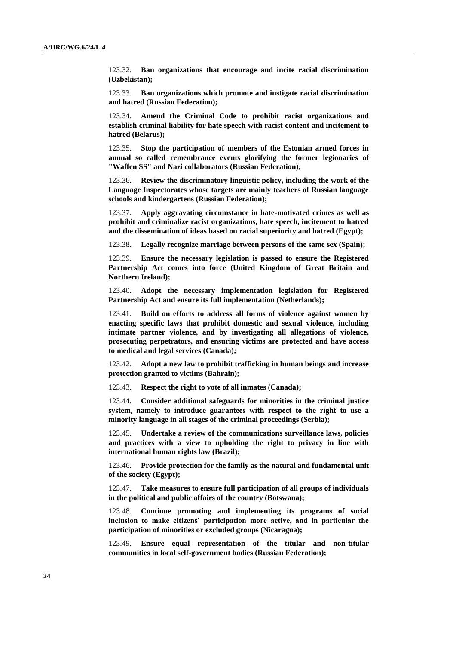123.32. **Ban organizations that encourage and incite racial discrimination (Uzbekistan);**

123.33. **Ban organizations which promote and instigate racial discrimination and hatred (Russian Federation);**

123.34. **Amend the Criminal Code to prohibit racist organizations and establish criminal liability for hate speech with racist content and incitement to hatred (Belarus);**

123.35. **Stop the participation of members of the Estonian armed forces in annual so called remembrance events glorifying the former legionaries of "Waffen SS" and Nazi collaborators (Russian Federation);**

123.36. **Review the discriminatory linguistic policy, including the work of the Language Inspectorates whose targets are mainly teachers of Russian language schools and kindergartens (Russian Federation);**

123.37. **Apply aggravating circumstance in hate-motivated crimes as well as prohibit and criminalize racist organizations, hate speech, incitement to hatred and the dissemination of ideas based on racial superiority and hatred (Egypt);**

123.38. **Legally recognize marriage between persons of the same sex (Spain);**

123.39. **Ensure the necessary legislation is passed to ensure the Registered Partnership Act comes into force (United Kingdom of Great Britain and Northern Ireland);**

123.40. **Adopt the necessary implementation legislation for Registered Partnership Act and ensure its full implementation (Netherlands);**

123.41. **Build on efforts to address all forms of violence against women by enacting specific laws that prohibit domestic and sexual violence, including intimate partner violence, and by investigating all allegations of violence, prosecuting perpetrators, and ensuring victims are protected and have access to medical and legal services (Canada);**

123.42. **Adopt a new law to prohibit trafficking in human beings and increase protection granted to victims (Bahrain);**

123.43. **Respect the right to vote of all inmates (Canada);**

123.44. **Consider additional safeguards for minorities in the criminal justice system, namely to introduce guarantees with respect to the right to use a minority language in all stages of the criminal proceedings (Serbia);**

123.45. **Undertake a review of the communications surveillance laws, policies and practices with a view to upholding the right to privacy in line with international human rights law (Brazil);**

123.46. **Provide protection for the family as the natural and fundamental unit of the society (Egypt);**

123.47. **Take measures to ensure full participation of all groups of individuals in the political and public affairs of the country (Botswana);**

123.48. **Continue promoting and implementing its programs of social inclusion to make citizens' participation more active, and in particular the participation of minorities or excluded groups (Nicaragua);**

123.49. **Ensure equal representation of the titular and non-titular communities in local self-government bodies (Russian Federation);**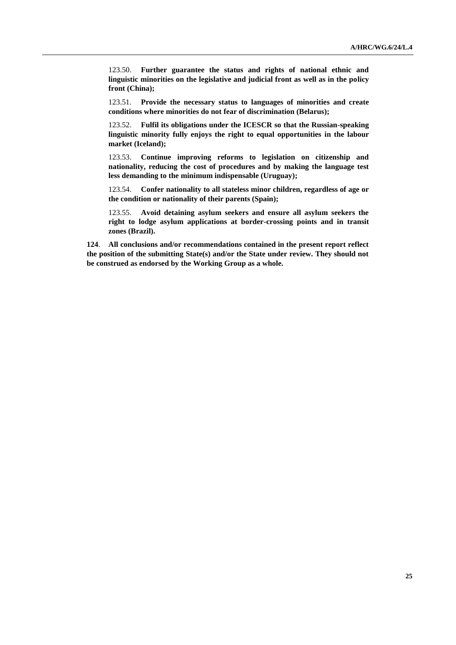123.50. **Further guarantee the status and rights of national ethnic and linguistic minorities on the legislative and judicial front as well as in the policy front (China);**

123.51. **Provide the necessary status to languages of minorities and create conditions where minorities do not fear of discrimination (Belarus);**

123.52. **Fulfil its obligations under the ICESCR so that the Russian-speaking linguistic minority fully enjoys the right to equal opportunities in the labour market (Iceland);**

123.53. **Continue improving reforms to legislation on citizenship and nationality, reducing the cost of procedures and by making the language test less demanding to the minimum indispensable (Uruguay);**

123.54. **Confer nationality to all stateless minor children, regardless of age or the condition or nationality of their parents (Spain);**

123.55. **Avoid detaining asylum seekers and ensure all asylum seekers the right to lodge asylum applications at border-crossing points and in transit zones (Brazil).**

**124**. **All conclusions and/or recommendations contained in the present report reflect the position of the submitting State(s) and/or the State under review. They should not be construed as endorsed by the Working Group as a whole.**